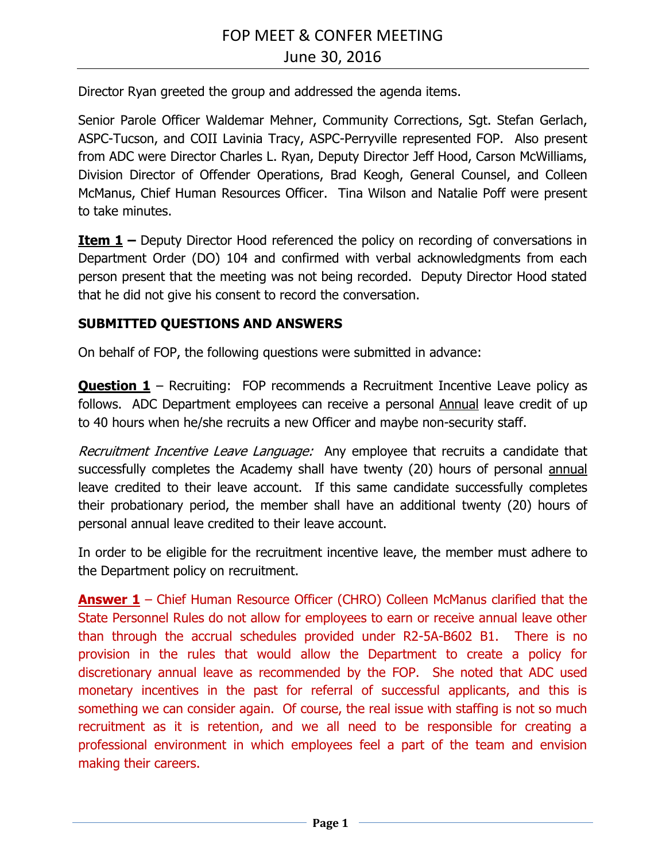Director Ryan greeted the group and addressed the agenda items.

Senior Parole Officer Waldemar Mehner, Community Corrections, Sgt. Stefan Gerlach, ASPC-Tucson, and COII Lavinia Tracy, ASPC-Perryville represented FOP. Also present from ADC were Director Charles L. Ryan, Deputy Director Jeff Hood, Carson McWilliams, Division Director of Offender Operations, Brad Keogh, General Counsel, and Colleen McManus, Chief Human Resources Officer. Tina Wilson and Natalie Poff were present to take minutes.

**Item 1 –** Deputy Director Hood referenced the policy on recording of conversations in Department Order (DO) 104 and confirmed with verbal acknowledgments from each person present that the meeting was not being recorded. Deputy Director Hood stated that he did not give his consent to record the conversation.

## **SUBMITTED QUESTIONS AND ANSWERS**

On behalf of FOP, the following questions were submitted in advance:

**Question 1** – Recruiting: FOP recommends a Recruitment Incentive Leave policy as follows. ADC Department employees can receive a personal Annual leave credit of up to 40 hours when he/she recruits a new Officer and maybe non-security staff.

Recruitment Incentive Leave Language: Any employee that recruits a candidate that successfully completes the Academy shall have twenty (20) hours of personal annual leave credited to their leave account. If this same candidate successfully completes their probationary period, the member shall have an additional twenty (20) hours of personal annual leave credited to their leave account.

In order to be eligible for the recruitment incentive leave, the member must adhere to the Department policy on recruitment.

**Answer 1** – Chief Human Resource Officer (CHRO) Colleen McManus clarified that the State Personnel Rules do not allow for employees to earn or receive annual leave other than through the accrual schedules provided under R2-5A-B602 B1. There is no provision in the rules that would allow the Department to create a policy for discretionary annual leave as recommended by the FOP. She noted that ADC used monetary incentives in the past for referral of successful applicants, and this is something we can consider again. Of course, the real issue with staffing is not so much recruitment as it is retention, and we all need to be responsible for creating a professional environment in which employees feel a part of the team and envision making their careers.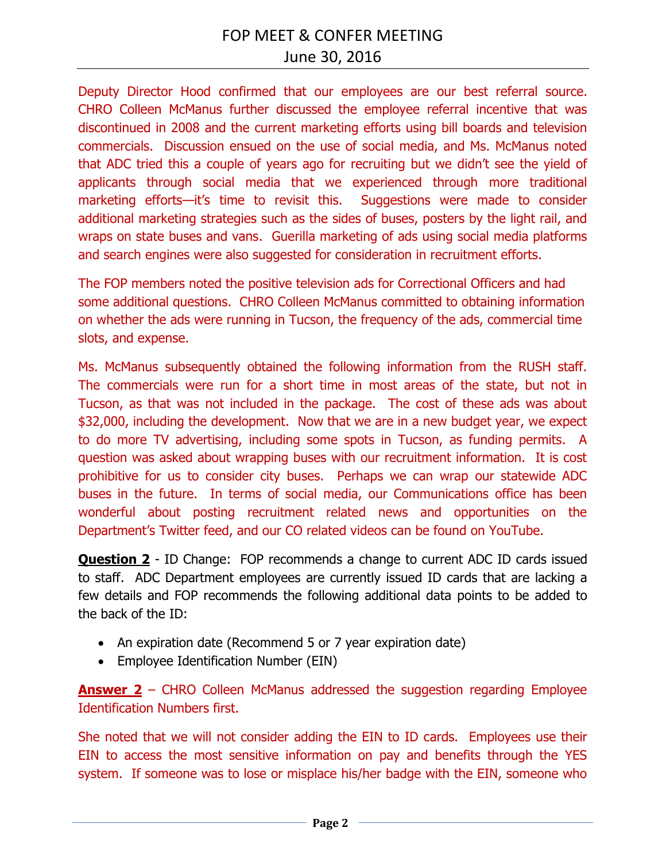Deputy Director Hood confirmed that our employees are our best referral source. CHRO Colleen McManus further discussed the employee referral incentive that was discontinued in 2008 and the current marketing efforts using bill boards and television commercials. Discussion ensued on the use of social media, and Ms. McManus noted that ADC tried this a couple of years ago for recruiting but we didn't see the yield of applicants through social media that we experienced through more traditional marketing efforts—it's time to revisit this. Suggestions were made to consider additional marketing strategies such as the sides of buses, posters by the light rail, and wraps on state buses and vans. Guerilla marketing of ads using social media platforms and search engines were also suggested for consideration in recruitment efforts.

The FOP members noted the positive television ads for Correctional Officers and had some additional questions. CHRO Colleen McManus committed to obtaining information on whether the ads were running in Tucson, the frequency of the ads, commercial time slots, and expense.

Ms. McManus subsequently obtained the following information from the RUSH staff. The commercials were run for a short time in most areas of the state, but not in Tucson, as that was not included in the package. The cost of these ads was about \$32,000, including the development. Now that we are in a new budget year, we expect to do more TV advertising, including some spots in Tucson, as funding permits. A question was asked about wrapping buses with our recruitment information. It is cost prohibitive for us to consider city buses. Perhaps we can wrap our statewide ADC buses in the future. In terms of social media, our Communications office has been wonderful about posting recruitment related news and opportunities on the Department's Twitter feed, and our CO related videos can be found on YouTube.

**Question 2** - ID Change: FOP recommends a change to current ADC ID cards issued to staff. ADC Department employees are currently issued ID cards that are lacking a few details and FOP recommends the following additional data points to be added to the back of the ID:

- An expiration date (Recommend 5 or 7 year expiration date)
- Employee Identification Number (EIN)

**Answer 2** – CHRO Colleen McManus addressed the suggestion regarding Employee Identification Numbers first.

She noted that we will not consider adding the EIN to ID cards. Employees use their EIN to access the most sensitive information on pay and benefits through the YES system. If someone was to lose or misplace his/her badge with the EIN, someone who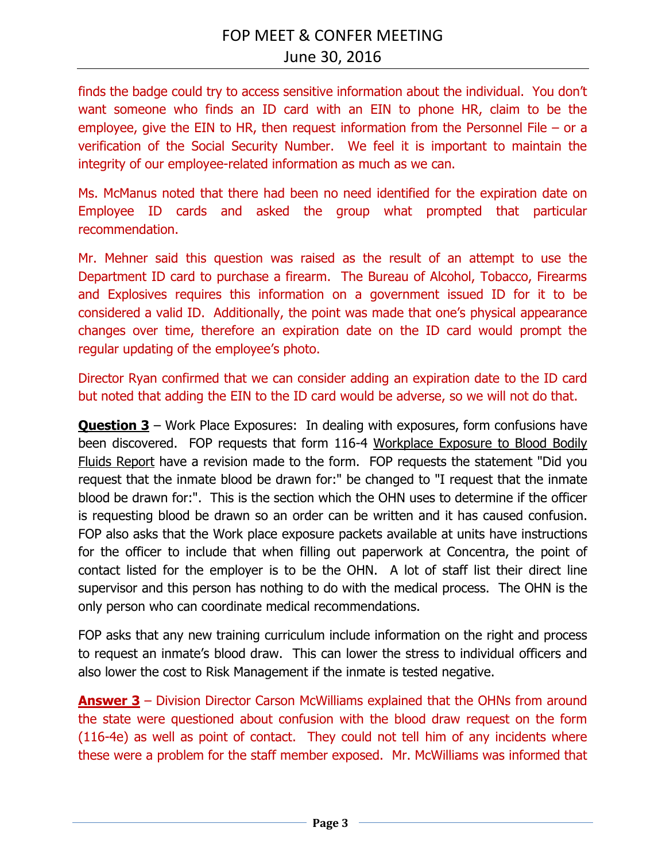finds the badge could try to access sensitive information about the individual. You don't want someone who finds an ID card with an EIN to phone HR, claim to be the employee, give the EIN to HR, then request information from the Personnel File – or a verification of the Social Security Number. We feel it is important to maintain the integrity of our employee-related information as much as we can.

Ms. McManus noted that there had been no need identified for the expiration date on Employee ID cards and asked the group what prompted that particular recommendation.

Mr. Mehner said this question was raised as the result of an attempt to use the Department ID card to purchase a firearm. The Bureau of Alcohol, Tobacco, Firearms and Explosives requires this information on a government issued ID for it to be considered a valid ID.Additionally, the point was made that one's physical appearance changes over time, therefore an expiration date on the ID card would prompt the regular updating of the employee's photo.

Director Ryan confirmed that we can consider adding an expiration date to the ID card but noted that adding the EIN to the ID card would be adverse, so we will not do that.

**Question 3** – Work Place Exposures: In dealing with exposures, form confusions have been discovered. FOP requests that form 116-4 Workplace Exposure to Blood Bodily Fluids Report have a revision made to the form. FOP requests the statement "Did you request that the inmate blood be drawn for:" be changed to "I request that the inmate blood be drawn for:". This is the section which the OHN uses to determine if the officer is requesting blood be drawn so an order can be written and it has caused confusion. FOP also asks that the Work place exposure packets available at units have instructions for the officer to include that when filling out paperwork at Concentra, the point of contact listed for the employer is to be the OHN. A lot of staff list their direct line supervisor and this person has nothing to do with the medical process. The OHN is the only person who can coordinate medical recommendations.

FOP asks that any new training curriculum include information on the right and process to request an inmate's blood draw. This can lower the stress to individual officers and also lower the cost to Risk Management if the inmate is tested negative.

**Answer 3** – Division Director Carson McWilliams explained that the OHNs from around the state were questioned about confusion with the blood draw request on the form (116-4e) as well as point of contact. They could not tell him of any incidents where these were a problem for the staff member exposed. Mr. McWilliams was informed that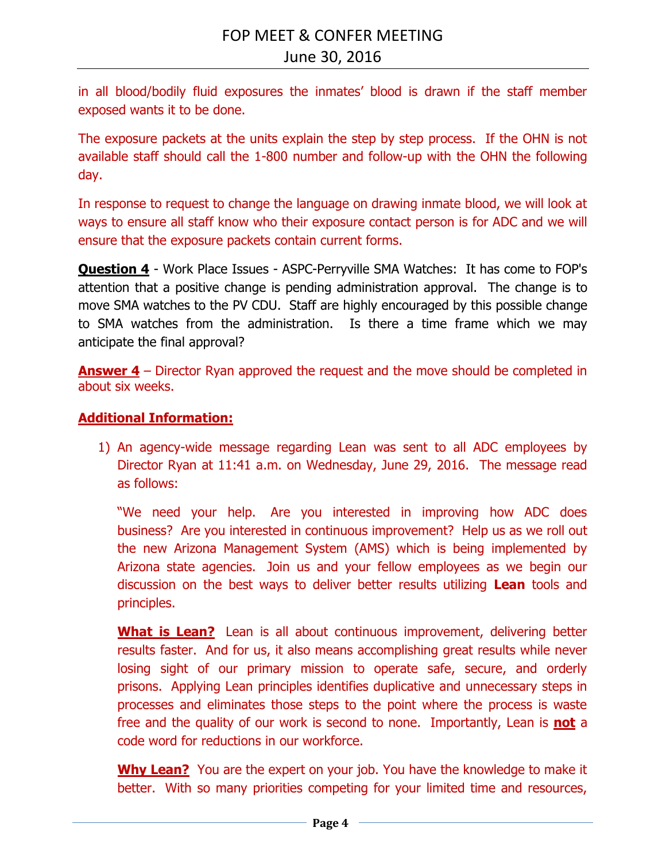in all blood/bodily fluid exposures the inmates' blood is drawn if the staff member exposed wants it to be done.

The exposure packets at the units explain the step by step process. If the OHN is not available staff should call the 1-800 number and follow-up with the OHN the following day.

In response to request to change the language on drawing inmate blood, we will look at ways to ensure all staff know who their exposure contact person is for ADC and we will ensure that the exposure packets contain current forms.

**Question 4** - Work Place Issues - ASPC-Perryville SMA Watches: It has come to FOP's attention that a positive change is pending administration approval. The change is to move SMA watches to the PV CDU. Staff are highly encouraged by this possible change to SMA watches from the administration. Is there a time frame which we may anticipate the final approval?

**Answer 4** – Director Ryan approved the request and the move should be completed in about six weeks.

## **Additional Information:**

1) An agency-wide message regarding Lean was sent to all ADC employees by Director Ryan at 11:41 a.m. on Wednesday, June 29, 2016. The message read as follows:

"We need your help. Are you interested in improving how ADC does business? Are you interested in continuous improvement? Help us as we roll out the new Arizona Management System (AMS) which is being implemented by Arizona state agencies. Join us and your fellow employees as we begin our discussion on the best ways to deliver better results utilizing **Lean** tools and principles.

**What is Lean?** Lean is all about continuous improvement, delivering better results faster. And for us, it also means accomplishing great results while never losing sight of our primary mission to operate safe, secure, and orderly prisons. Applying Lean principles identifies duplicative and unnecessary steps in processes and eliminates those steps to the point where the process is waste free and the quality of our work is second to none. Importantly, Lean is **not** a code word for reductions in our workforce.

**Why Lean?** You are the expert on your job. You have the knowledge to make it better. With so many priorities competing for your limited time and resources,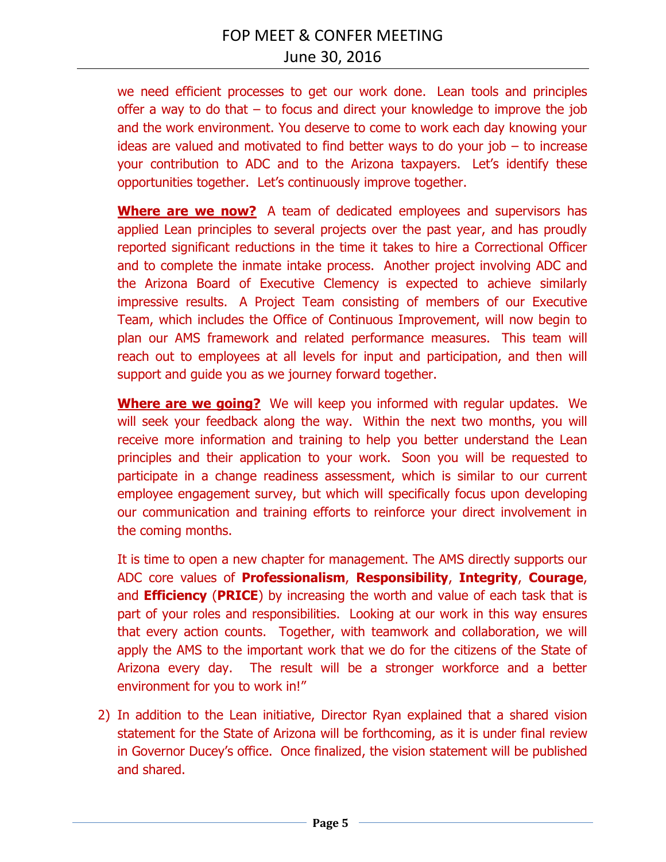we need efficient processes to get our work done. Lean tools and principles offer a way to do that – to focus and direct your knowledge to improve the job and the work environment. You deserve to come to work each day knowing your ideas are valued and motivated to find better ways to do your job – to increase your contribution to ADC and to the Arizona taxpayers. Let's identify these opportunities together. Let's continuously improve together.

**Where are we now?** A team of dedicated employees and supervisors has applied Lean principles to several projects over the past year, and has proudly reported significant reductions in the time it takes to hire a Correctional Officer and to complete the inmate intake process. Another project involving ADC and the Arizona Board of Executive Clemency is expected to achieve similarly impressive results. A Project Team consisting of members of our Executive Team, which includes the Office of Continuous Improvement, will now begin to plan our AMS framework and related performance measures. This team will reach out to employees at all levels for input and participation, and then will support and guide you as we journey forward together.

**Where are we going?** We will keep you informed with regular updates. We will seek your feedback along the way. Within the next two months, you will receive more information and training to help you better understand the Lean principles and their application to your work. Soon you will be requested to participate in a change readiness assessment, which is similar to our current employee engagement survey, but which will specifically focus upon developing our communication and training efforts to reinforce your direct involvement in the coming months.

It is time to open a new chapter for management. The AMS directly supports our ADC core values of **Professionalism**, **Responsibility**, **Integrity**, **Courage**, and **Efficiency** (**PRICE**) by increasing the worth and value of each task that is part of your roles and responsibilities. Looking at our work in this way ensures that every action counts. Together, with teamwork and collaboration, we will apply the AMS to the important work that we do for the citizens of the State of Arizona every day. The result will be a stronger workforce and a better environment for you to work in!"

2) In addition to the Lean initiative, Director Ryan explained that a shared vision statement for the State of Arizona will be forthcoming, as it is under final review in Governor Ducey's office. Once finalized, the vision statement will be published and shared.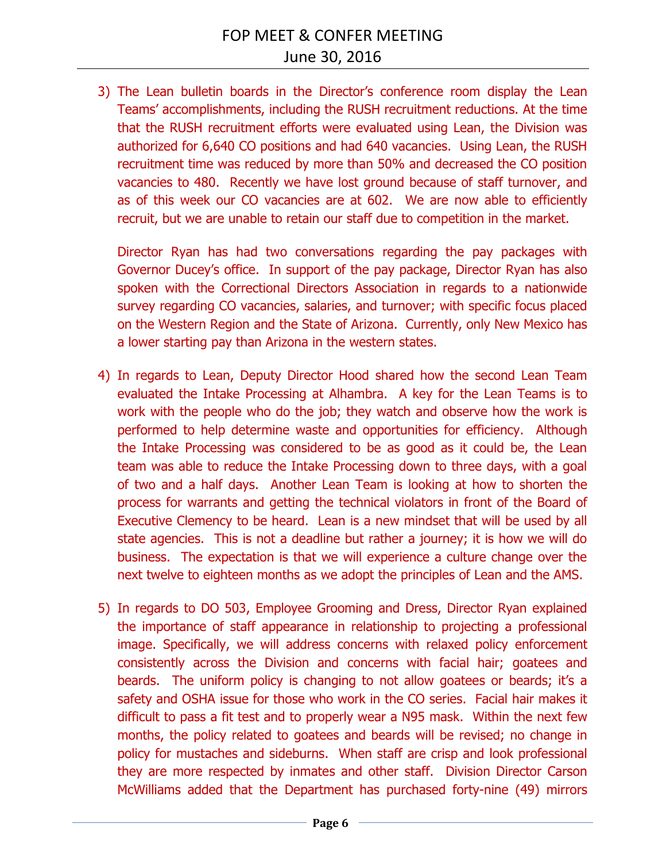3) The Lean bulletin boards in the Director's conference room display the Lean Teams' accomplishments, including the RUSH recruitment reductions. At the time that the RUSH recruitment efforts were evaluated using Lean, the Division was authorized for 6,640 CO positions and had 640 vacancies. Using Lean, the RUSH recruitment time was reduced by more than 50% and decreased the CO position vacancies to 480. Recently we have lost ground because of staff turnover, and as of this week our CO vacancies are at 602. We are now able to efficiently recruit, but we are unable to retain our staff due to competition in the market.

Director Ryan has had two conversations regarding the pay packages with Governor Ducey's office. In support of the pay package, Director Ryan has also spoken with the Correctional Directors Association in regards to a nationwide survey regarding CO vacancies, salaries, and turnover; with specific focus placed on the Western Region and the State of Arizona. Currently, only New Mexico has a lower starting pay than Arizona in the western states.

- 4) In regards to Lean, Deputy Director Hood shared how the second Lean Team evaluated the Intake Processing at Alhambra. A key for the Lean Teams is to work with the people who do the job; they watch and observe how the work is performed to help determine waste and opportunities for efficiency. Although the Intake Processing was considered to be as good as it could be, the Lean team was able to reduce the Intake Processing down to three days, with a goal of two and a half days. Another Lean Team is looking at how to shorten the process for warrants and getting the technical violators in front of the Board of Executive Clemency to be heard. Lean is a new mindset that will be used by all state agencies. This is not a deadline but rather a journey; it is how we will do business. The expectation is that we will experience a culture change over the next twelve to eighteen months as we adopt the principles of Lean and the AMS.
- 5) In regards to DO 503, Employee Grooming and Dress, Director Ryan explained the importance of staff appearance in relationship to projecting a professional image. Specifically, we will address concerns with relaxed policy enforcement consistently across the Division and concerns with facial hair; goatees and beards. The uniform policy is changing to not allow goatees or beards; it's a safety and OSHA issue for those who work in the CO series. Facial hair makes it difficult to pass a fit test and to properly wear a N95 mask. Within the next few months, the policy related to goatees and beards will be revised; no change in policy for mustaches and sideburns. When staff are crisp and look professional they are more respected by inmates and other staff. Division Director Carson McWilliams added that the Department has purchased forty-nine (49) mirrors